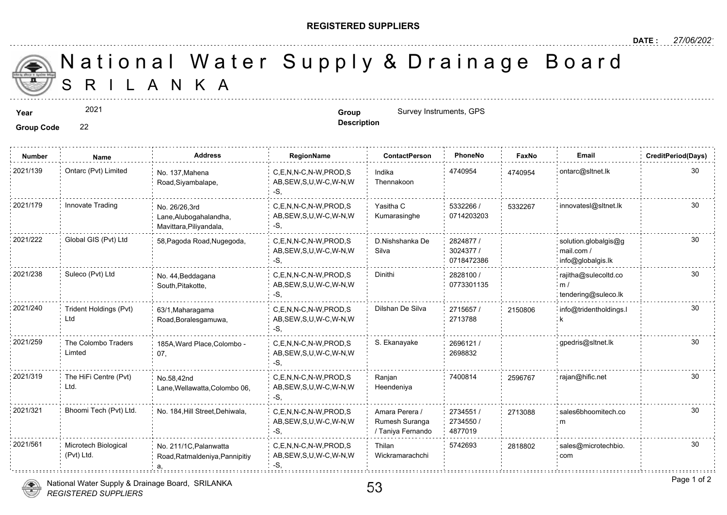## **REGISTERED SUPPLIERS**

S R I L A N K A National Water Supply & Drainage

**Group Code** 22

2021

**Year Example 2021 Group Group Group Survey Instruments, GPS** 

| <b>Number</b> | Name                               | <b>Address</b>                                                     | RegionName                                                | <b>ContactPerson</b>                                  | PhoneNo                              | Faxl   |
|---------------|------------------------------------|--------------------------------------------------------------------|-----------------------------------------------------------|-------------------------------------------------------|--------------------------------------|--------|
| 2021/139      | Ontarc (Pvt) Limited               | No. 137, Mahena<br>Road, Siyambalape,                              | C,E,N,N-C,N-W,PROD,S<br>AB, SEW, S, U, W-C, W-N, W<br>-S. | Indika<br>Thennakoon                                  | 4740954                              | 474095 |
| 2021/179      | Innovate Trading                   | No. 26/26,3rd<br>Lane, Alubogahalandha,<br>Mavittara, Piliyandala, | C.E.N.N-C.N-W.PROD.S<br>AB, SEW, S, U, W-C, W-N, W<br>-S, | Yasitha C<br>Kumarasinghe                             | 5332266 /<br>0714203203              | 533226 |
| 2021/222      | Global GIS (Pvt) Ltd               | 58, Pagoda Road, Nugegoda,                                         | C.E.N.N-C.N-W.PROD.S<br>AB, SEW, S, U, W-C, W-N, W<br>-S, | D.Nishshanka De<br>Silva                              | 2824877 /<br>3024377 /<br>0718472386 |        |
| 2021/238      | Suleco (Pvt) Ltd                   | No. 44, Beddagana<br>South, Pitakotte,                             | C,E,N,N-C,N-W,PROD,S<br>AB, SEW, S, U, W-C, W-N, W<br>-S. | Dinithi                                               | 2828100 /<br>0773301135              |        |
| 2021/240      | Trident Holdings (Pvt)<br>Ltd      | 63/1, Maharagama<br>Road, Boralesgamuwa,                           | C.E.N.N-C.N-W.PROD.S<br>AB, SEW, S, U, W-C, W-N, W<br>-S. | Dilshan De Silva                                      | 2715657 /<br>2713788                 | 215080 |
| 2021/259      | The Colombo Traders<br>Limted      | 185A, Ward Place, Colombo -<br>07,                                 | C.E.N.N-C.N-W.PROD.S<br>AB, SEW, S, U, W-C, W-N, W<br>-S. | S. Ekanayake                                          | 2696121/<br>2698832                  |        |
| 2021/319      | The HiFi Centre (Pvt)<br>Ltd.      | No.58,42nd<br>Lane, Wellawatta, Colombo 06,                        | C.E.N.N-C.N-W.PROD.S<br>AB, SEW, S, U, W-C, W-N, W<br>-S, | Ranjan<br>Heendeniya                                  | 7400814                              | 259676 |
| 2021/321      | Bhoomi Tech (Pvt) Ltd.             | No. 184, Hill Street, Dehiwala,                                    | C.E.N.N-C.N-W.PROD.S<br>AB, SEW, S, U, W-C, W-N, W<br>-S, | Amara Perera /<br>Rumesh Suranga<br>/ Taniya Fernando | 2734551/<br>2734550 /<br>4877019     | 271308 |
| 2021/561      | Microtech Biological<br>(Pvt) Ltd. | No. 211/1C, Palanwatta<br>Road, Ratmaldeniya, Pannipitiy           | C.E.N.N-C.N-W.PROD.S<br>AB, SEW, S, U, W-C, W-N, W<br>-S, | Thilan<br>Wickramarachchi                             | 5742693                              | 281880 |